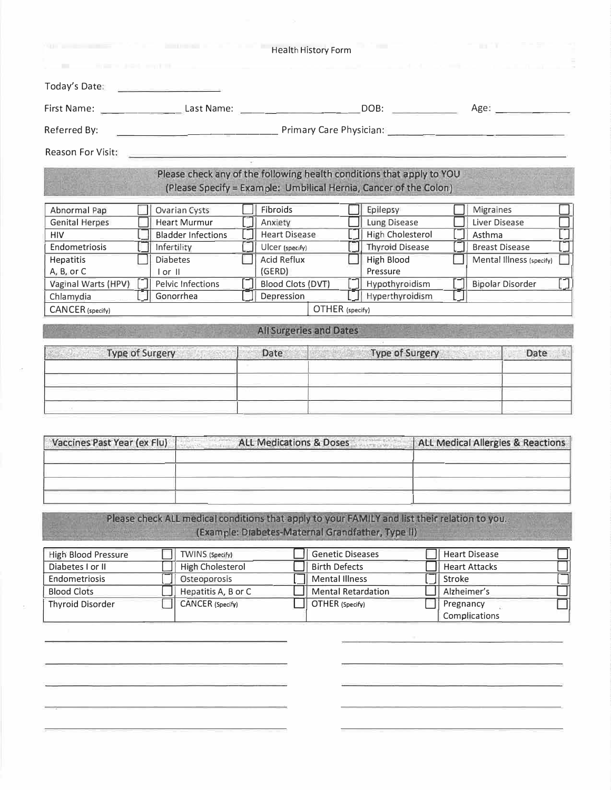| and the state of the state of<br><b>BELLEVILLE STATE AND SHOPLIFTS.</b>                                                                                                                                                              |                 | <b>MEDICAL CONTRACTOR</b>                    |                                    | Health History Form       |                                                                                                                                                    |      | <b>BETT</b>                                  |  |
|--------------------------------------------------------------------------------------------------------------------------------------------------------------------------------------------------------------------------------------|-----------------|----------------------------------------------|------------------------------------|---------------------------|----------------------------------------------------------------------------------------------------------------------------------------------------|------|----------------------------------------------|--|
| Today's Date: <b>Contract of the Contract of the Contract of the Contract of the Contract of the Contract of the Contract of the Contract of the Contract of the Contract of the Contract of the Contract of the Contract of the</b> |                 |                                              |                                    |                           |                                                                                                                                                    |      |                                              |  |
| First Name: _________________________Last Name: _______________________________DOB: ________________                                                                                                                                 |                 |                                              |                                    |                           |                                                                                                                                                    | Age: |                                              |  |
| Referred By:                                                                                                                                                                                                                         |                 |                                              |                                    |                           |                                                                                                                                                    |      |                                              |  |
| Reason For Visit:                                                                                                                                                                                                                    |                 |                                              |                                    |                           |                                                                                                                                                    |      |                                              |  |
|                                                                                                                                                                                                                                      |                 |                                              |                                    |                           | Please check any of the following health conditions that apply to YOU<br>(Please Specify = Example: Umbilical Hernia, Cancer of the Colon)         |      |                                              |  |
|                                                                                                                                                                                                                                      |                 |                                              |                                    |                           |                                                                                                                                                    |      |                                              |  |
| Abnormal Pap                                                                                                                                                                                                                         |                 | <b>Ovarian Cysts</b>                         | Fibroids                           |                           | Epilepsy                                                                                                                                           |      | <b>Migraines</b>                             |  |
| <b>Genital Herpes</b>                                                                                                                                                                                                                |                 | <b>Heart Murmur</b>                          | Anxiety                            |                           | Lung Disease                                                                                                                                       |      | Liver Disease                                |  |
| HIV                                                                                                                                                                                                                                  |                 | <b>Bladder Infections</b>                    | <b>Heart Disease</b>               |                           | <b>High Cholesterol</b>                                                                                                                            |      | Asthma                                       |  |
| Endometriosis                                                                                                                                                                                                                        | Infertility     |                                              | Ulcer (specify)                    |                           | <b>Thyroid Disease</b>                                                                                                                             |      | <b>Breast Disease</b>                        |  |
| Hepatitis                                                                                                                                                                                                                            | <b>Diabetes</b> |                                              | <b>Acid Reflux</b>                 |                           | <b>High Blood</b>                                                                                                                                  |      | Mental Illness (specify)                     |  |
| A, B, or C                                                                                                                                                                                                                           | $I$ or $II$     |                                              | (GERD)                             |                           | Pressure                                                                                                                                           |      |                                              |  |
| Vaginal Warts (HPV)                                                                                                                                                                                                                  |                 | Pelvic Infections                            | Blood Clots (DVT)                  |                           | Hypothyroidism                                                                                                                                     |      | <b>Bipolar Disorder</b>                      |  |
| Chlamydia                                                                                                                                                                                                                            |                 | Gonorrhea                                    | Depression                         |                           | Hyperthyroidism                                                                                                                                    |      |                                              |  |
| CANCER (specify)                                                                                                                                                                                                                     |                 |                                              |                                    | OTHER (specify)           |                                                                                                                                                    |      |                                              |  |
| Vaccines Past Year (ex Flu)                                                                                                                                                                                                          |                 | an Breathan and all and the<br>Annual Artist | <b>ALL Medications &amp; Doses</b> |                           |                                                                                                                                                    |      | <b>ALL Medical Allergies &amp; Reactions</b> |  |
|                                                                                                                                                                                                                                      |                 |                                              |                                    |                           | Please check ALL medical conditions that apply to your FAMILY and list their relation to you.<br>(Example: Diabetes-Maternal Grandfather, Type II) |      |                                              |  |
| High Blood Pressure                                                                                                                                                                                                                  |                 | TWINS (Specify)                              |                                    | <b>Genetic Diseases</b>   |                                                                                                                                                    |      | <b>Heart Disease</b>                         |  |
| Diabetes I or II                                                                                                                                                                                                                     |                 | <b>High Cholesterol</b>                      |                                    | <b>Birth Defects</b>      |                                                                                                                                                    |      | <b>Heart Attacks</b>                         |  |
| Endometriosis                                                                                                                                                                                                                        |                 | Osteoporosis                                 |                                    | <b>Mental Illness</b>     |                                                                                                                                                    |      | Stroke                                       |  |
| <b>Blood Clots</b>                                                                                                                                                                                                                   |                 | Hepatitis A, B or C                          |                                    | <b>Mental Retardation</b> |                                                                                                                                                    |      | Alzheimer's                                  |  |
| <b>Thyroid Disorder</b>                                                                                                                                                                                                              |                 | CANCER (Specify)                             |                                    | OTHER (Specify)           |                                                                                                                                                    |      | Pregnancy<br>Complications                   |  |
|                                                                                                                                                                                                                                      |                 |                                              |                                    |                           |                                                                                                                                                    |      |                                              |  |
|                                                                                                                                                                                                                                      |                 |                                              |                                    |                           |                                                                                                                                                    |      |                                              |  |